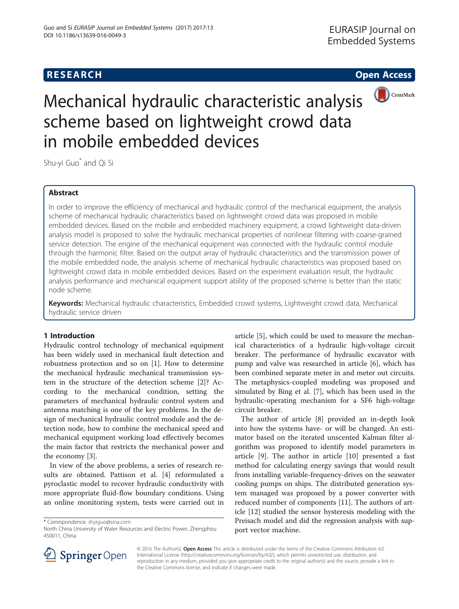## **RESEARCH CHE Open Access**



# Mechanical hydraulic characteristic analysis scheme based on lightweight crowd data in mobile embedded devices

Shu-yi Guo\* and Qi Si

### Abstract

In order to improve the efficiency of mechanical and hydraulic control of the mechanical equipment, the analysis scheme of mechanical hydraulic characteristics based on lightweight crowd data was proposed in mobile embedded devices. Based on the mobile and embedded machinery equipment, a crowd lightweight data-driven analysis model is proposed to solve the hydraulic mechanical properties of nonlinear filtering with coarse-grained service detection. The engine of the mechanical equipment was connected with the hydraulic control module through the harmonic filter. Based on the output array of hydraulic characteristics and the transmission power of the mobile embedded node, the analysis scheme of mechanical hydraulic characteristics was proposed based on lightweight crowd data in mobile embedded devices. Based on the experiment evaluation result, the hydraulic analysis performance and mechanical equipment support ability of the proposed scheme is better than the static node scheme.

Keywords: Mechanical hydraulic characteristics, Embedded crowd systems, Lightweight crowd data, Mechanical hydraulic service driven

#### 1 Introduction

Hydraulic control technology of mechanical equipment has been widely used in mechanical fault detection and robustness protection and so on [[1](#page-6-0)]. How to determine the mechanical hydraulic mechanical transmission system in the structure of the detection scheme [\[2](#page-6-0)]? According to the mechanical condition, setting the parameters of mechanical hydraulic control system and antenna matching is one of the key problems. In the design of mechanical hydraulic control module and the detection node, how to combine the mechanical speed and mechanical equipment working load effectively becomes the main factor that restricts the mechanical power and the economy [[3\]](#page-6-0).

In view of the above problems, a series of research results are obtained. Pattison et al. [\[4](#page-6-0)] reformulated a pyroclastic model to recover hydraulic conductivity with more appropriate fluid-flow boundary conditions. Using an online monitoring system, tests were carried out in

\* Correspondence: [shyiguo@sina.com](mailto:shyiguo@sina.com)

article [\[5](#page-6-0)], which could be used to measure the mechanical characteristics of a hydraulic high-voltage circuit breaker. The performance of hydraulic excavator with pump and valve was researched in article [\[6](#page-6-0)], which has been combined separate meter in and meter out circuits. The metaphysics-coupled modeling was proposed and simulated by Bing et al. [[7\]](#page-6-0), which has been used in the hydraulic-operating mechanism for a SF6 high-voltage circuit breaker.

The author of article [\[8](#page-6-0)] provided an in-depth look into how the systems have- or will be changed. An estimator based on the iterated unscented Kalman filter algorithm was proposed to identify model parameters in article [[9\]](#page-6-0). The author in article [\[10](#page-6-0)] presented a fast method for calculating energy savings that would result from installing variable-frequency-drives on the seawater cooling pumps on ships. The distributed generation system managed was proposed by a power converter with reduced number of components [\[11](#page-6-0)]. The authors of article [\[12\]](#page-6-0) studied the sensor hysteresis modeling with the Preisach model and did the regression analysis with support vector machine.



© 2016 The Author(s). Open Access This article is distributed under the terms of the Creative Commons Attribution 4.0 International License ([http://creativecommons.org/licenses/by/4.0/\)](http://creativecommons.org/licenses/by/4.0/), which permits unrestricted use, distribution, and reproduction in any medium, provided you give appropriate credit to the original author(s) and the source, provide a link to the Creative Commons license, and indicate if changes were made.

North China University of Water Resources and Electric Power, Zhengzhou 450011, China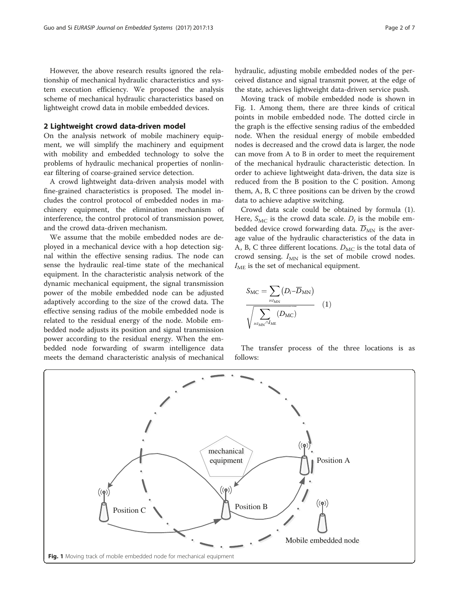However, the above research results ignored the relationship of mechanical hydraulic characteristics and system execution efficiency. We proposed the analysis scheme of mechanical hydraulic characteristics based on lightweight crowd data in mobile embedded devices.

#### 2 Lightweight crowd data-driven model

On the analysis network of mobile machinery equipment, we will simplify the machinery and equipment with mobility and embedded technology to solve the problems of hydraulic mechanical properties of nonlinear filtering of coarse-grained service detection.

A crowd lightweight data-driven analysis model with fine-grained characteristics is proposed. The model includes the control protocol of embedded nodes in machinery equipment, the elimination mechanism of interference, the control protocol of transmission power, and the crowd data-driven mechanism.

We assume that the mobile embedded nodes are deployed in a mechanical device with a hop detection signal within the effective sensing radius. The node can sense the hydraulic real-time state of the mechanical equipment. In the characteristic analysis network of the dynamic mechanical equipment, the signal transmission power of the mobile embedded node can be adjusted adaptively according to the size of the crowd data. The effective sensing radius of the mobile embedded node is related to the residual energy of the node. Mobile embedded node adjusts its position and signal transmission power according to the residual energy. When the embedded node forwarding of swarm intelligence data meets the demand characteristic analysis of mechanical hydraulic, adjusting mobile embedded nodes of the perceived distance and signal transmit power, at the edge of the state, achieves lightweight data-driven service push.

Moving track of mobile embedded node is shown in Fig. 1. Among them, there are three kinds of critical points in mobile embedded node. The dotted circle in the graph is the effective sensing radius of the embedded node. When the residual energy of mobile embedded nodes is decreased and the crowd data is larger, the node can move from A to B in order to meet the requirement of the mechanical hydraulic characteristic detection. In order to achieve lightweight data-driven, the data size is reduced from the B position to the C position. Among them, A, B, C three positions can be driven by the crowd data to achieve adaptive switching.

Crowd data scale could be obtained by formula (1). Here,  $S_{MC}$  is the crowd data scale.  $D_i$  is the mobile embedded device crowd forwarding data.  $D_{MN}$  is the average value of the hydraulic characteristics of the data in A, B, C three different locations.  $D_{MC}$  is the total data of crowd sensing.  $I_{MN}$  is the set of mobile crowd nodes.  $I_{\text{ME}}$  is the set of mechanical equipment.

$$
S_{\rm MC} = \sum_{i \in I_{\rm MN}} (D_i - \overline{D}_{\rm MN})
$$

$$
\overline{\sqrt{\sum_{i \in I_{\rm MN}} (D_{\rm MC})}} \quad (1)
$$

The transfer process of the three locations is as follows:

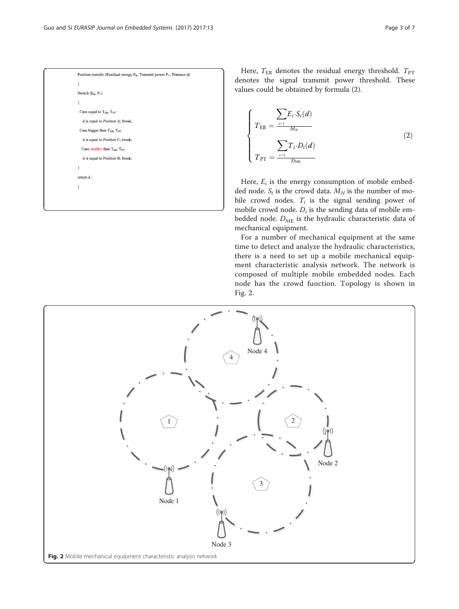| Position transfer (Residual energy $E_R$ , Transmit power $P_T$ , Distance d) |
|-------------------------------------------------------------------------------|
| ł                                                                             |
| Switch $(E_R, P_T)$                                                           |
| ł                                                                             |
| Case equal to $T_{ER}$ , $T_{PT}$ :                                           |
| d is equal to Position A; break;                                              |
| Case bigger than $T_{ER}$ , $T_{PT}$ :                                        |
| d is equal to Position C; break;                                              |
| Case smaller than $T_{ER}$ , $T_{PT}$ :                                       |
| d is equal to Position B; break;                                              |
| ł                                                                             |
| return d;                                                                     |
| ł                                                                             |
|                                                                               |
|                                                                               |

Here,  $T_{\text{ER}}$  denotes the residual energy threshold.  $T_{\text{PT}}$ denotes the signal transmit power threshold. These values could be obtained by formula (2).

$$
\begin{cases}\nT_{ER} = \frac{\sum E_i \cdot S_i(d)}{M_N} \\
\sum \sum T_i \cdot D_i(d) \\
T_{PT} = \frac{I-1}{D_{ME}}\n\end{cases}
$$
\n(2)

Here,  $E_i$  is the energy consumption of mobile embedded node.  $S_i$  is the crowd data.  $M_N$  is the number of mobile crowd nodes.  $T_i$  is the signal sending power of mobile crowd node.  $D_i$  is the sending data of mobile embedded node.  $D_{ME}$  is the hydraulic characteristic data of mechanical equipment.

For a number of mechanical equipment at the same time to detect and analyze the hydraulic characteristics, there is a need to set up a mobile mechanical equipment characteristic analysis network. The network is composed of multiple mobile embedded nodes. Each node has the crowd function. Topology is shown in Fig. 2.

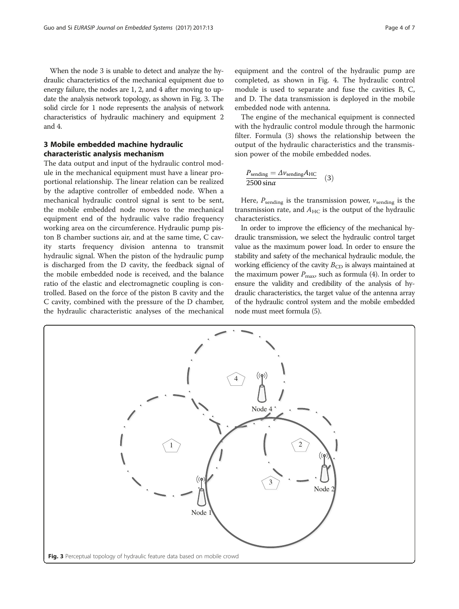When the node 3 is unable to detect and analyze the hydraulic characteristics of the mechanical equipment due to energy failure, the nodes are 1, 2, and 4 after moving to update the analysis network topology, as shown in Fig. 3. The solid circle for 1 node represents the analysis of network characteristics of hydraulic machinery and equipment 2 and 4.

#### 3 Mobile embedded machine hydraulic characteristic analysis mechanism

The data output and input of the hydraulic control module in the mechanical equipment must have a linear proportional relationship. The linear relation can be realized by the adaptive controller of embedded node. When a mechanical hydraulic control signal is sent to be sent, the mobile embedded node moves to the mechanical equipment end of the hydraulic valve radio frequency working area on the circumference. Hydraulic pump piston B chamber suctions air, and at the same time, C cavity starts frequency division antenna to transmit hydraulic signal. When the piston of the hydraulic pump is discharged from the D cavity, the feedback signal of the mobile embedded node is received, and the balance ratio of the elastic and electromagnetic coupling is controlled. Based on the force of the piston B cavity and the C cavity, combined with the pressure of the D chamber, the hydraulic characteristic analyses of the mechanical

equipment and the control of the hydraulic pump are completed, as shown in Fig. [4](#page-4-0). The hydraulic control module is used to separate and fuse the cavities B, C, and D. The data transmission is deployed in the mobile embedded node with antenna.

The engine of the mechanical equipment is connected with the hydraulic control module through the harmonic filter. Formula (3) shows the relationship between the output of the hydraulic characteristics and the transmission power of the mobile embedded nodes.

$$
\frac{P_{\text{sending}} = \Delta \nu_{\text{sending}} A_{\text{HC}}}{2500 \sin \alpha} \quad (3)
$$

Here,  $P_{\text{ sending}}$  is the transmission power,  $v_{\text{ sending}}$  is the transmission rate, and  $A_{HC}$  is the output of the hydraulic characteristics.

In order to improve the efficiency of the mechanical hydraulic transmission, we select the hydraulic control target value as the maximum power load. In order to ensure the stability and safety of the mechanical hydraulic module, the working efficiency of the cavity  $B_{CD}$  is always maintained at the maximum power  $P_{\text{max}}$ , such as formula [\(4](#page-4-0)). In order to ensure the validity and credibility of the analysis of hydraulic characteristics, the target value of the antenna array of the hydraulic control system and the mobile embedded node must meet formula ([5](#page-4-0)).

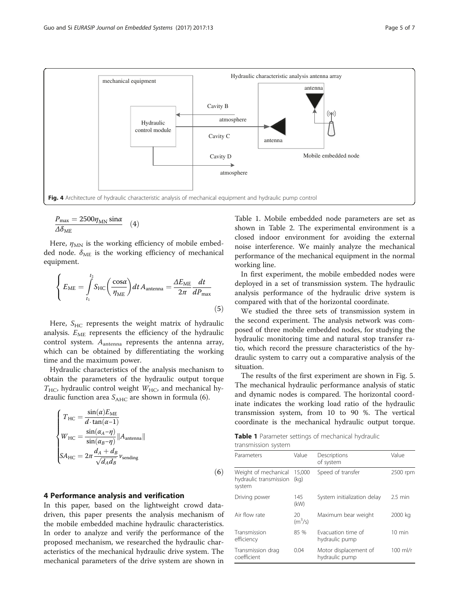<span id="page-4-0"></span>

$$
\frac{P_{\text{max}} = 2500 \eta_{\text{MN}} \sin \alpha}{\Delta \delta_{\text{ME}}} \quad (4)
$$

Here,  $\eta_{MN}$  is the working efficiency of mobile embedded node.  $\delta_{ME}$  is the working efficiency of mechanical equipment.

$$
\left\{ E_{\text{ME}} = \int_{t_1}^{t_2} S_{\text{HC}} \left( \frac{\cos \alpha}{\eta_{\text{ME}}} \right) dt A_{\text{antenna}} = \frac{\Delta E_{\text{ME}}}{2\pi} \frac{dt}{d P_{\text{max}}} \right\}
$$
(5)

Here,  $S_{HC}$  represents the weight matrix of hydraulic analysis.  $E_{ME}$  represents the efficiency of the hydraulic control system.  $A_{antenna}$  represents the antenna array, which can be obtained by differentiating the working time and the maximum power.

Hydraulic characteristics of the analysis mechanism to obtain the parameters of the hydraulic output torque  $T_{\text{HC}}$ , hydraulic control weight  $W_{\text{HC}}$ , and mechanical hydraulic function area  $S_{AHC}$  are shown in formula (6).

$$
\begin{cases}\nT_{\text{HC}} = \frac{\sin(\alpha)E_{\text{ME}}}{d \cdot \tan(\alpha - 1)} \\
W_{\text{HC}} = \frac{\sin(\alpha_A - \eta)}{\sin(\alpha_B - \eta)} ||A_{\text{antenna}}|| \\
SA_{\text{HC}} = 2\pi \frac{d_A + d_B}{\sqrt{d_A d_B}} \nu_{\text{sending}}\n\end{cases}
$$
\n(6)

#### 4 Performance analysis and verification

In this paper, based on the lightweight crowd datadriven, this paper presents the analysis mechanism of the mobile embedded machine hydraulic characteristics. In order to analyze and verify the performance of the proposed mechanism, we researched the hydraulic characteristics of the mechanical hydraulic drive system. The mechanical parameters of the drive system are shown in

Table 1. Mobile embedded node parameters are set as shown in Table [2](#page-5-0). The experimental environment is a closed indoor environment for avoiding the external noise interference. We mainly analyze the mechanical performance of the mechanical equipment in the normal working line.

In first experiment, the mobile embedded nodes were deployed in a set of transmission system. The hydraulic analysis performance of the hydraulic drive system is compared with that of the horizontal coordinate.

We studied the three sets of transmission system in the second experiment. The analysis network was composed of three mobile embedded nodes, for studying the hydraulic monitoring time and natural stop transfer ratio, which record the pressure characteristics of the hydraulic system to carry out a comparative analysis of the situation.

The results of the first experiment are shown in Fig. [5](#page-5-0). The mechanical hydraulic performance analysis of static and dynamic nodes is compared. The horizontal coordinate indicates the working load ratio of the hydraulic transmission system, from 10 to 90 %. The vertical coordinate is the mechanical hydraulic output torque.

Table 1 Parameter settings of mechanical hydraulic

| transmission system |  |
|---------------------|--|
|                     |  |

| Parameters                                               | Value           | Descriptions<br>of system               | Value             |
|----------------------------------------------------------|-----------------|-----------------------------------------|-------------------|
| Weight of mechanical<br>hydraulic transmission<br>system | 15,000<br>(kq)  | Speed of transfer                       | 2500 rpm          |
| Driving power                                            | 145<br>(kW)     | System initialization delay             | $2.5 \text{ min}$ |
| Air flow rate                                            | 20<br>$(m^3/s)$ | Maximum bear weight                     | 2000 kg           |
| Transmission<br>efficiency                               | 85 %            | Evacuation time of<br>hydraulic pump    | $10 \text{ min}$  |
| Transmission drag<br>coefficient                         | 0.04            | Motor displacement of<br>hydraulic pump | $100$ ml/r        |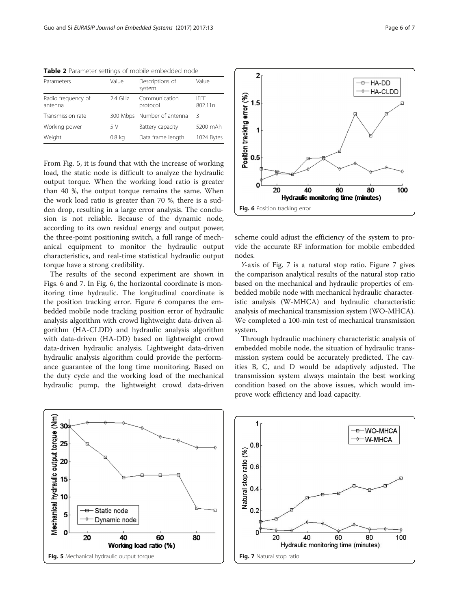<span id="page-5-0"></span>Table 2 Parameter settings of mobile embedded node

| Parameters                    | Value             | Descriptions of<br>system  | Value            |
|-------------------------------|-------------------|----------------------------|------------------|
| Radio frequency of<br>antenna | $2.4$ GHz         | Communication<br>protocol  | IFFF.<br>802.11n |
| Transmission rate             |                   | 300 Mbps Number of antenna | 3                |
| Working power                 | 5 V               | Battery capacity           | 5200 mAh         |
| Weight                        | 0.8 <sub>kq</sub> | Data frame length          | 1024 Bytes       |

From Fig. 5, it is found that with the increase of working load, the static node is difficult to analyze the hydraulic output torque. When the working load ratio is greater than 40 %, the output torque remains the same. When the work load ratio is greater than 70 %, there is a sudden drop, resulting in a large error analysis. The conclusion is not reliable. Because of the dynamic node, according to its own residual energy and output power, the three-point positioning switch, a full range of mechanical equipment to monitor the hydraulic output characteristics, and real-time statistical hydraulic output torque have a strong credibility.

The results of the second experiment are shown in Figs. 6 and 7. In Fig. 6, the horizontal coordinate is monitoring time hydraulic. The longitudinal coordinate is the position tracking error. Figure 6 compares the embedded mobile node tracking position error of hydraulic analysis algorithm with crowd lightweight data-driven algorithm (HA-CLDD) and hydraulic analysis algorithm with data-driven (HA-DD) based on lightweight crowd data-driven hydraulic analysis. Lightweight data-driven hydraulic analysis algorithm could provide the performance guarantee of the long time monitoring. Based on the duty cycle and the working load of the mechanical hydraulic pump, the lightweight crowd data-driven





scheme could adjust the efficiency of the system to provide the accurate RF information for mobile embedded nodes.

Y-axis of Fig. 7 is a natural stop ratio. Figure 7 gives the comparison analytical results of the natural stop ratio based on the mechanical and hydraulic properties of embedded mobile node with mechanical hydraulic characteristic analysis (W-MHCA) and hydraulic characteristic analysis of mechanical transmission system (WO-MHCA). We completed a 100-min test of mechanical transmission system.

Through hydraulic machinery characteristic analysis of embedded mobile node, the situation of hydraulic transmission system could be accurately predicted. The cavities B, C, and D would be adaptively adjusted. The transmission system always maintain the best working condition based on the above issues, which would improve work efficiency and load capacity.